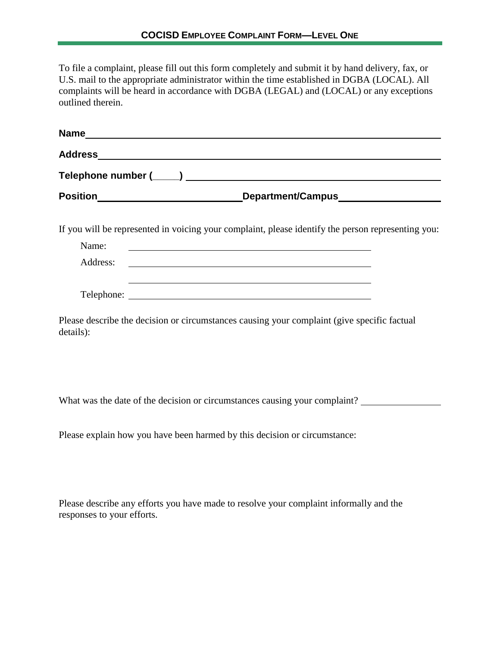To file a complaint, please fill out this form completely and submit it by hand delivery, fax, or U.S. mail to the appropriate administrator within the time established in DGBA (LOCAL). All complaints will be heard in accordance with DGBA (LEGAL) and (LOCAL) or any exceptions outlined therein.

|           |                                                                                             |  | Position_________________________________Department/Campus______________________                   |
|-----------|---------------------------------------------------------------------------------------------|--|----------------------------------------------------------------------------------------------------|
|           |                                                                                             |  | If you will be represented in voicing your complaint, please identify the person representing you: |
| Name:     |                                                                                             |  |                                                                                                    |
|           |                                                                                             |  |                                                                                                    |
|           |                                                                                             |  |                                                                                                    |
| details): | Please describe the decision or circumstances causing your complaint (give specific factual |  |                                                                                                    |
|           |                                                                                             |  |                                                                                                    |
|           |                                                                                             |  |                                                                                                    |

What was the date of the decision or circumstances causing your complaint?

Please explain how you have been harmed by this decision or circumstance:

Please describe any efforts you have made to resolve your complaint informally and the responses to your efforts.